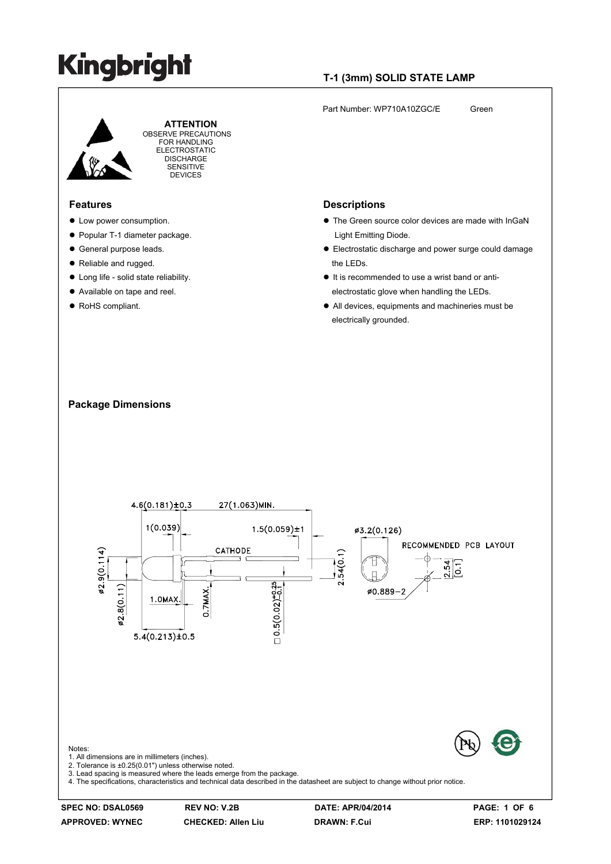### **T-1 (3mm) SOLID STATE LAMP**

Part Number: WP710A10ZGC/E Green



 **ATTENTION** OBSERVE PRECAUTIONS FOR HANDLING ELECTROSTATIC **DISCHARGE** SENSITIVE DEVICES

#### **Features**

- $\bullet$  Low power consumption.
- Popular T-1 diameter package.
- General purpose leads.
- Reliable and rugged.
- Long life solid state reliability.
- Available on tape and reel.
- RoHS compliant.

#### **Descriptions**

- The Green source color devices are made with InGaN Light Emitting Diode.
- Electrostatic discharge and power surge could damage the LEDs.
- $\bullet$  It is recommended to use a wrist band or antielectrostatic glove when handling the LEDs.
- All devices, equipments and machineries must be electrically grounded.





**SPEC NO: DSAL0569 REV NO: V.2B DATE: APR/04/2014 PAGE: 1 OF 6**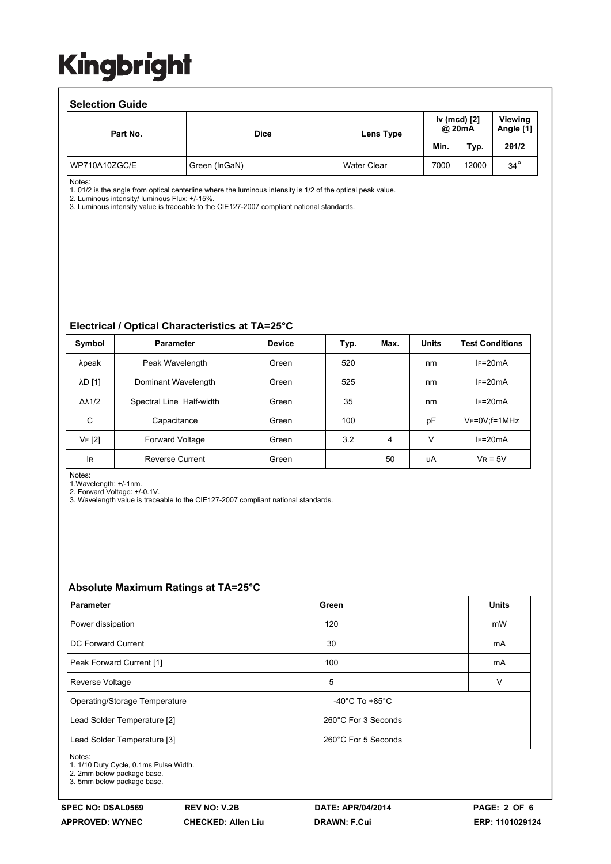#### **Selection Guide**

| <b>OCICLIUII QUIUC</b> |               |             |                                |       |            |                      |
|------------------------|---------------|-------------|--------------------------------|-------|------------|----------------------|
| Part No.               | <b>Dice</b>   | Lens Type   | Iv (mcd) [2]<br>@ 20mA<br>Min. |       |            | Viewing<br>Angle [1] |
|                        |               |             |                                | Typ.  | 201/2      |                      |
| WP710A10ZGC/E          | Green (InGaN) | Water Clear | 7000                           | 12000 | $34^\circ$ |                      |

Notes:

1. θ1/2 is the angle from optical centerline where the luminous intensity is 1/2 of the optical peak value.

2. Luminous intensity/ luminous Flux: +/-15%.

3. Luminous intensity value is traceable to the CIE127-2007 compliant national standards.

#### **Electrical / Optical Characteristics at TA=25°C**

| Symbol              | <b>Parameter</b>         | <b>Device</b> | Typ. | Max. | <b>Units</b> | <b>Test Conditions</b> |
|---------------------|--------------------------|---------------|------|------|--------------|------------------------|
| λpeak               | Peak Wavelength          | Green         | 520  |      | nm           | $IF=20mA$              |
| <b>AD [1]</b>       | Dominant Wavelength      | Green         | 525  |      | nm           | $IF=20mA$              |
| $\Delta\lambda$ 1/2 | Spectral Line Half-width | Green         | 35   |      | nm           | $IF=20mA$              |
| C                   | Capacitance              | Green         | 100  |      | pF           | VF=0V;f=1MHz           |
| VF [2]              | <b>Forward Voltage</b>   | Green         | 3.2  | 4    | v            | $IF=20mA$              |
| lR                  | <b>Reverse Current</b>   | Green         |      | 50   | uA           | $V_R = 5V$             |

Notes:

1.Wavelength: +/-1nm.

2. Forward Voltage: +/-0.1V. 3. Wavelength value is traceable to the CIE127-2007 compliant national standards.

#### **Absolute Maximum Ratings at TA=25°C**

| <b>Parameter</b>              | Green                              | <b>Units</b> |  |
|-------------------------------|------------------------------------|--------------|--|
| Power dissipation             | 120                                | mW           |  |
| DC Forward Current            | 30                                 | mA           |  |
| Peak Forward Current [1]      | 100                                | mA           |  |
| Reverse Voltage               | 5                                  | v            |  |
| Operating/Storage Temperature | $-40^{\circ}$ C To $+85^{\circ}$ C |              |  |
| Lead Solder Temperature [2]   | 260°C For 3 Seconds                |              |  |
| Lead Solder Temperature [3]   | 260°C For 5 Seconds                |              |  |

Notes:

1. 1/10 Duty Cycle, 0.1ms Pulse Width.

2. 2mm below package base.

3. 5mm below package base.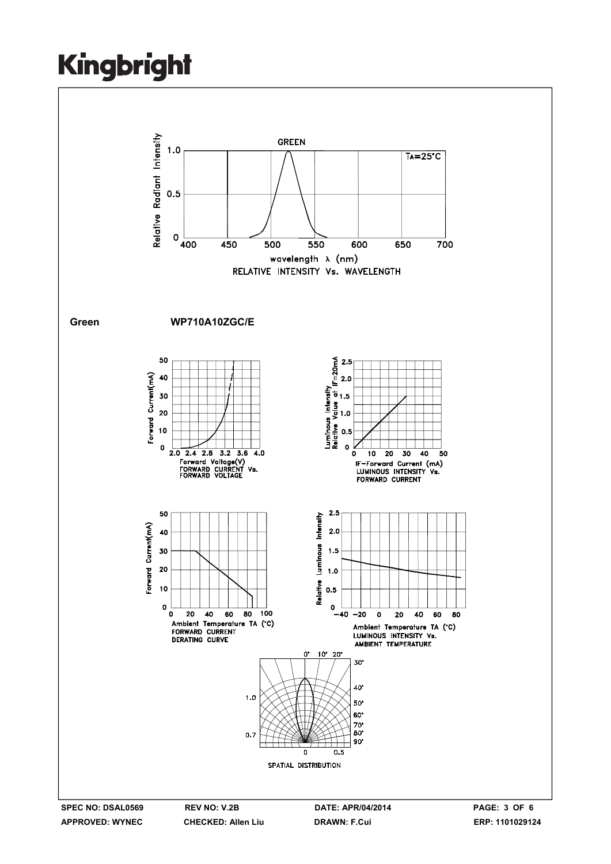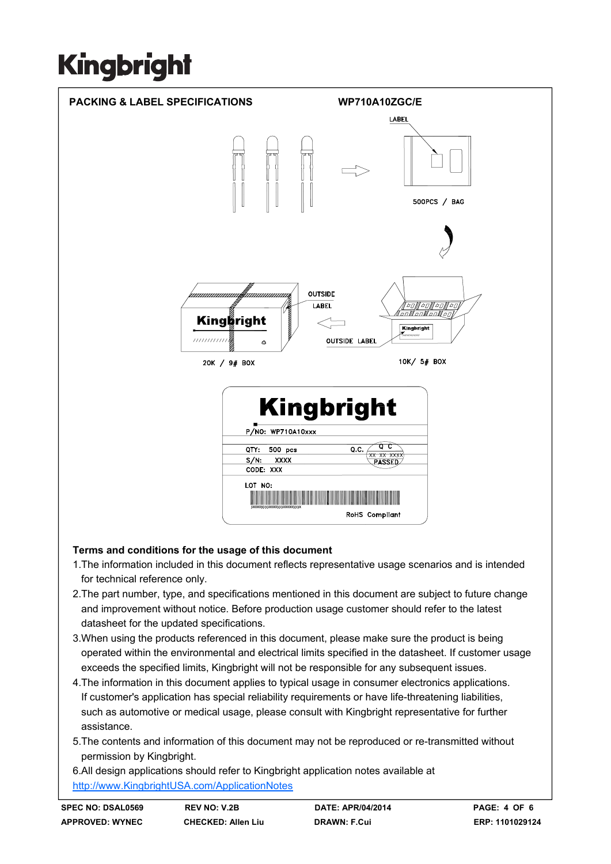

### **Terms and conditions for the usage of this document**

- 1.The information included in this document reflects representative usage scenarios and is intended for technical reference only.
- 2.The part number, type, and specifications mentioned in this document are subject to future change and improvement without notice. Before production usage customer should refer to the latest datasheet for the updated specifications.
- 3.When using the products referenced in this document, please make sure the product is being operated within the environmental and electrical limits specified in the datasheet. If customer usage exceeds the specified limits, Kingbright will not be responsible for any subsequent issues.
- 4.The information in this document applies to typical usage in consumer electronics applications. If customer's application has special reliability requirements or have life-threatening liabilities, such as automotive or medical usage, please consult with Kingbright representative for further assistance.
- 5.The contents and information of this document may not be reproduced or re-transmitted without permission by Kingbright.

6.All design applications should refer to Kingbright application notes available at http://www.KingbrightUSA.com/ApplicationNotes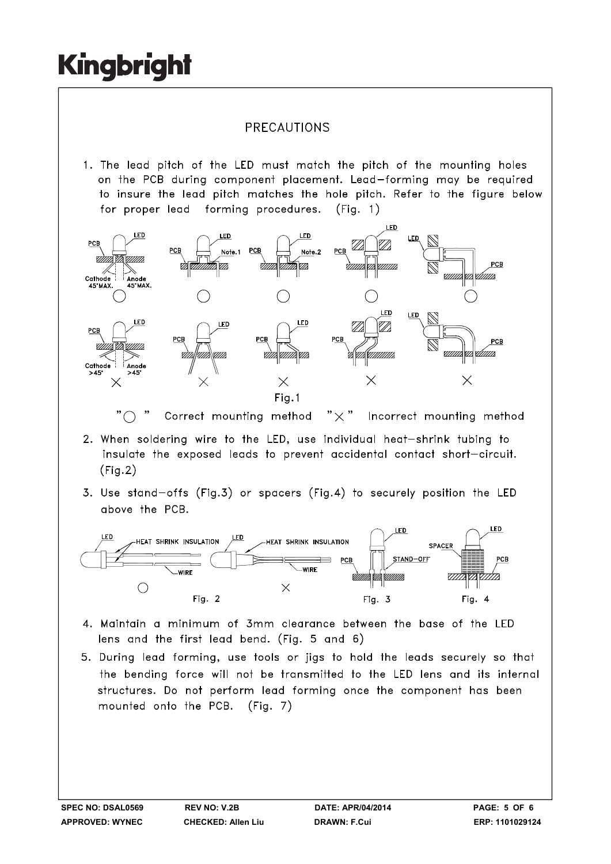### PRECAUTIONS

1. The lead pitch of the LED must match the pitch of the mounting holes on the PCB during component placement. Lead-forming may be required to insure the lead pitch matches the hole pitch. Refer to the figure below for proper lead forming procedures.  $(Fiq. 1)$ 



" $\bigcap$ Correct mounting method  $" \times"$ Incorrect mounting method

- 2. When soldering wire to the LED, use individual heat-shrink tubing to insulate the exposed leads to prevent accidental contact short-circuit.  $(Fig.2)$
- 3. Use stand-offs (Fig.3) or spacers (Fig.4) to securely position the LED above the PCB.



- 4. Maintain a minimum of 3mm clearance between the base of the LED lens and the first lead bend. (Fig. 5 and 6)
- 5. During lead forming, use tools or jigs to hold the leads securely so that the bending force will not be transmitted to the LED lens and its internal structures. Do not perform lead forming once the component has been mounted onto the PCB. (Fig. 7)